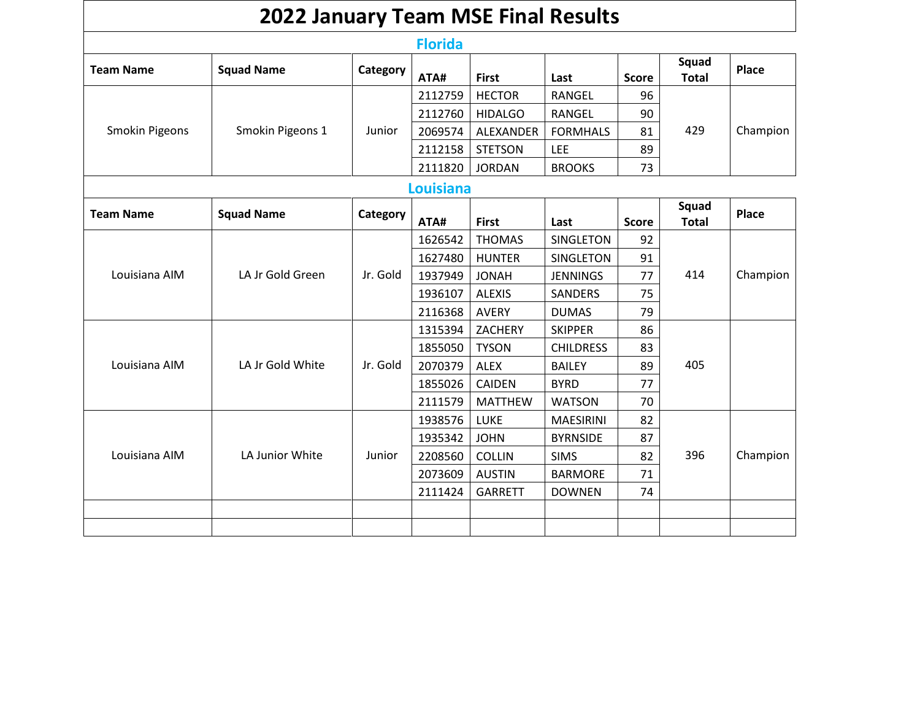## **2022 January Team MSE Final Results**

| . .<br>u s | $\sim$ |
|------------|--------|

|                  |                   |          | <u>rivi iud</u> |                |                  |              |                       |              |
|------------------|-------------------|----------|-----------------|----------------|------------------|--------------|-----------------------|--------------|
| <b>Team Name</b> | <b>Squad Name</b> | Category | ATA#            | <b>First</b>   | Last             | <b>Score</b> | Squad<br><b>Total</b> | <b>Place</b> |
| Smokin Pigeons   | Smokin Pigeons 1  | Junior   | 2112759         | <b>HECTOR</b>  | RANGEL           | 96           | 429                   | Champion     |
|                  |                   |          | 2112760         | <b>HIDALGO</b> | RANGEL           | 90           |                       |              |
|                  |                   |          | 2069574         | ALEXANDER      | <b>FORMHALS</b>  | 81           |                       |              |
|                  |                   |          | 2112158         | <b>STETSON</b> | <b>LEE</b>       | 89           |                       |              |
|                  |                   |          | 2111820         | <b>JORDAN</b>  | <b>BROOKS</b>    | 73           |                       |              |
|                  | <b>Louisiana</b>  |          |                 |                |                  |              |                       |              |
| <b>Team Name</b> | <b>Squad Name</b> | Category | ATA#            | <b>First</b>   | Last             | <b>Score</b> | Squad<br><b>Total</b> | <b>Place</b> |
|                  | LA Jr Gold Green  |          | 1626542         | <b>THOMAS</b>  | <b>SINGLETON</b> | 92           |                       | Champion     |
|                  |                   | Jr. Gold | 1627480         | <b>HUNTER</b>  | SINGLETON        | 91           | 414                   |              |
| Louisiana AIM    |                   |          | 1937949         | <b>JONAH</b>   | <b>JENNINGS</b>  | 77           |                       |              |
|                  |                   |          | 1936107         | <b>ALEXIS</b>  | <b>SANDERS</b>   | 75           |                       |              |
|                  |                   |          | 2116368         | <b>AVERY</b>   | <b>DUMAS</b>     | 79           |                       |              |
| Louisiana AIM    | LA Jr Gold White  | Jr. Gold | 1315394         | ZACHERY        | <b>SKIPPER</b>   | 86           | 405                   |              |
|                  |                   |          | 1855050         | <b>TYSON</b>   | <b>CHILDRESS</b> | 83           |                       |              |
|                  |                   |          | 2070379         | <b>ALEX</b>    | <b>BAILEY</b>    | 89           |                       |              |
|                  |                   |          | 1855026         | CAIDEN         | <b>BYRD</b>      | 77           |                       |              |
|                  |                   |          | 2111579         | <b>MATTHEW</b> | <b>WATSON</b>    | 70           |                       |              |
| Louisiana AIM    | LA Junior White   | Junior   | 1938576         | LUKE           | <b>MAESIRINI</b> | 82           | 396                   | Champion     |
|                  |                   |          | 1935342         | <b>JOHN</b>    | <b>BYRNSIDE</b>  | 87           |                       |              |
|                  |                   |          | 2208560         | <b>COLLIN</b>  | <b>SIMS</b>      | 82           |                       |              |
|                  |                   |          | 2073609         | <b>AUSTIN</b>  | <b>BARMORE</b>   | 71           |                       |              |
|                  |                   |          | 2111424         | <b>GARRETT</b> | <b>DOWNEN</b>    | 74           |                       |              |
|                  |                   |          |                 |                |                  |              |                       |              |
|                  |                   |          |                 |                |                  |              |                       |              |